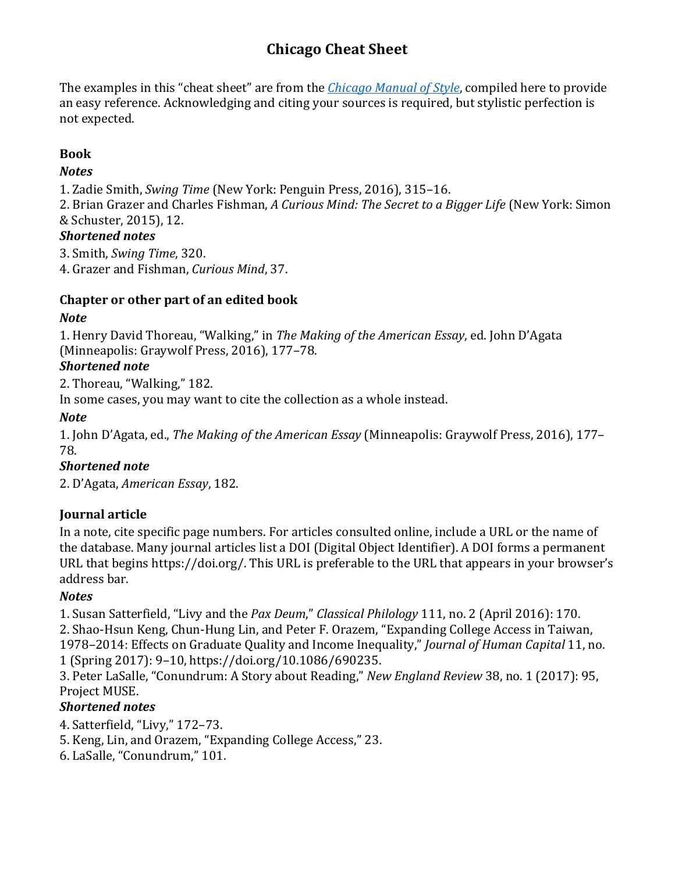# **Chicago Cheat Sheet**

The examples in this "cheat sheet" are from the *Chicago Manual of Style*, compiled here to provide an easy reference. Acknowledging and citing your sources is required, but stylistic perfection is not expected.

# **Book**

### *Notes*

1. Zadie Smith, *Swing Time* (New York: Penguin Press, 2016), 315-16.

2. Brian Grazer and Charles Fishman, *A Curious Mind: The Secret to a Bigger Life* (New York: Simon & Schuster, 2015), 12.

## *Shortened notes*

3. Smith, *Swing Time*, 320.

4. Grazer and Fishman, *Curious Mind*, 37.

## **Chapter or other part of an edited book**

## *Note*

1. Henry David Thoreau, "Walking," in *The Making of the American Essay*, ed. John D'Agata (Minneapolis: Graywolf Press, 2016), 177-78.

## *Shortened note*

2. Thoreau, "Walking," 182.

In some cases, you may want to cite the collection as a whole instead.

# *Note*

1. John D'Agata, ed., *The Making of the American Essay* (Minneapolis: Graywolf Press, 2016), 177– 78.

# *Shortened note*

2. D'Agata, American Essay, 182.

# **Journal article**

In a note, cite specific page numbers. For articles consulted online, include a URL or the name of the database. Many journal articles list a DOI (Digital Object Identifier). A DOI forms a permanent URL that begins https://doi.org/. This URL is preferable to the URL that appears in your browser's address bar.

# *Notes*

1. Susan Satterfield, "Livy and the *Pax Deum*," *Classical Philology* 111, no. 2 (April 2016): 170. 2. Shao-Hsun Keng, Chun-Hung Lin, and Peter F. Orazem, "Expanding College Access in Taiwan, 1978-2014: Effects on Graduate Quality and Income Inequality," *Journal of Human Capital* 11, no. 1 (Spring 2017): 9–10, https://doi.org/10.1086/690235.

3. Peter LaSalle, "Conundrum: A Story about Reading," *New England Review* 38, no. 1 (2017): 95, Project MUSE.

# *Shortened notes*

4. Satterfield, "Livy," 172–73.

5. Keng, Lin, and Orazem, "Expanding College Access," 23.

6. LaSalle, "Conundrum," 101.